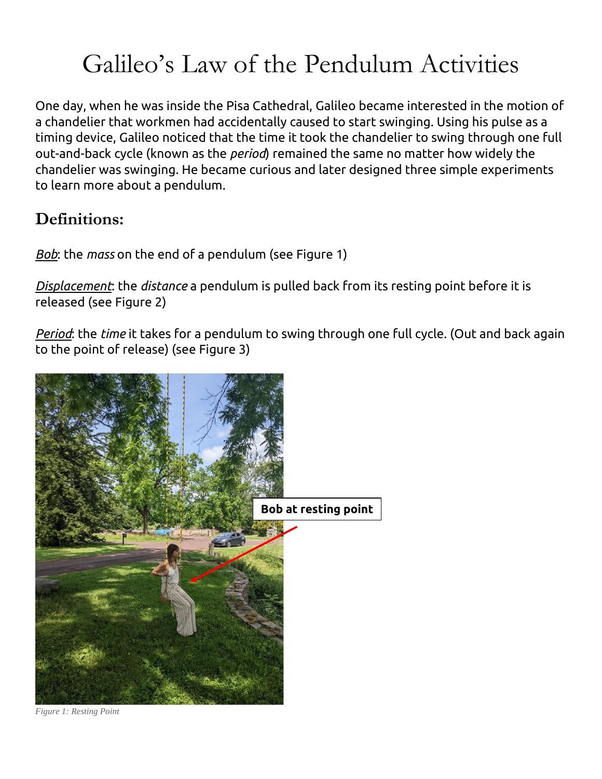# Galileo's Law of the Pendulum Activities

One day, when he was inside the Pisa Cathedral, Galileo became interested in the motion of a chandelier that workmen had accidentally caused to start swinging. Using his pulse as a timing device, Galileo noticed that the time it took the chandelier to swing through one full out-and-back cycle (known as the *period*) remained the same no matter how widely the chandelier was swinging. He became curious and later designed three simple experiments to learn more about a pendulum.

## **Definitions:**

*Bob*: the *mass* on the end of a pendulum (see Figure 1)

*Displacement*: the *distance* a pendulum is pulled back from its resting point before it is released (see Figure 2)

*Period*: the *time* it takes for a pendulum to swing through one full cycle. (Out and back again to the point of release) (see Figure 3)



*Figure 1: Resting Point*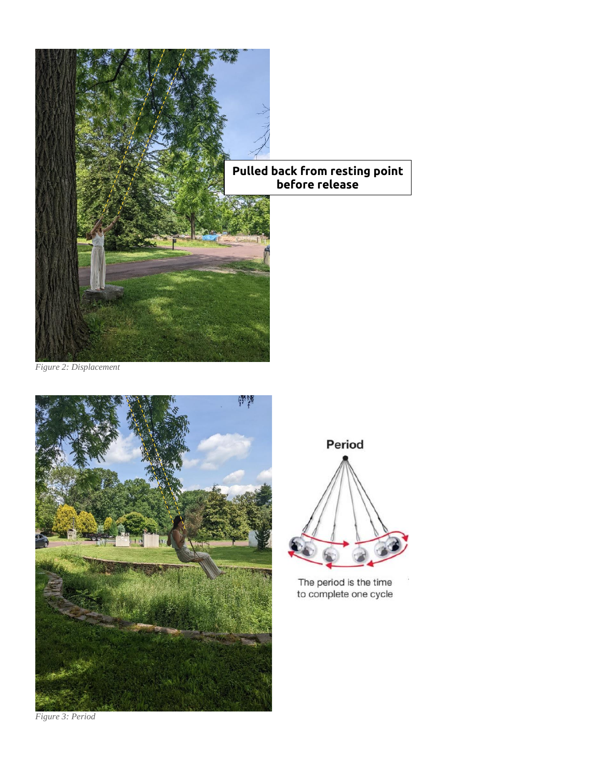

*Figure 2: Displacement*





The period is the time to complete one cycle

*Figure 3: Period*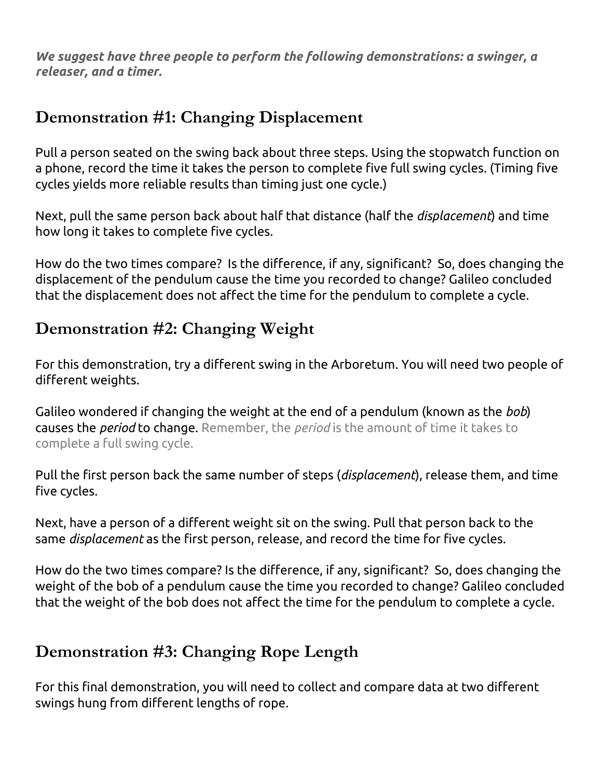*We suggest have three people to perform the following demonstrations: a swinger, a releaser, and a timer.*

### **Demonstration #1: Changing Displacement**

Pull a person seated on the swing back about three steps. Using the stopwatch function on a phone, record the time it takes the person to complete five full swing cycles. (Timing five cycles yields more reliable results than timing just one cycle.)

Next, pull the same person back about half that distance (half the *displacement*) and time how long it takes to complete five cycles.

How do the two times compare? Is the difference, if any, significant? So, does changing the displacement of the pendulum cause the time you recorded to change? Galileo concluded that the displacement does not affect the time for the pendulum to complete a cycle.

#### **Demonstration #2: Changing Weight**

For this demonstration, try a different swing in the Arboretum. You will need two people of different weights.

Galileo wondered if changing the weight at the end of a pendulum (known as the *bob*) causes the *period* to change. Remember, the *period* is the amount of time it takes to complete a full swing cycle.

Pull the first person back the same number of steps (*displacement*), release them, and time five cycles.

Next, have a person of a different weight sit on the swing. Pull that person back to the same *displacement* as the first person, release, and record the time for five cycles.

How do the two times compare? Is the difference, if any, significant? So, does changing the weight of the bob of a pendulum cause the time you recorded to change? Galileo concluded that the weight of the bob does not affect the time for the pendulum to complete a cycle.

#### **Demonstration #3: Changing Rope Length**

For this final demonstration, you will need to collect and compare data at two different swings hung from different lengths of rope.